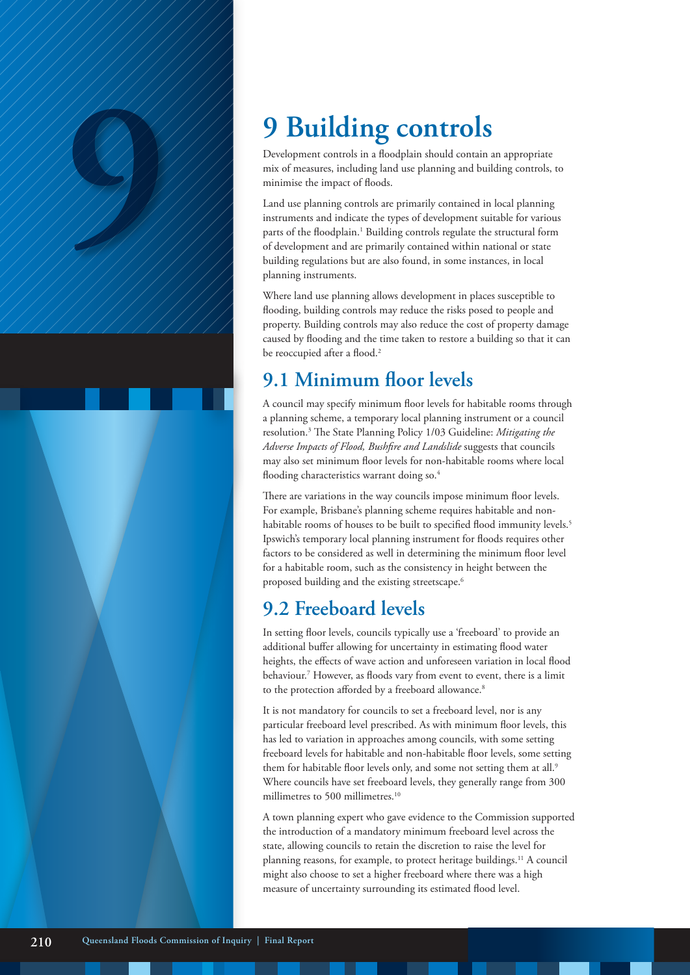Development controls in a floodplain should contain an appropriate mix of measures, including land use planning and building controls, to minimise the impact of floods.

**9 Building controls**<br>
Development controls in a floodplain should contain only only the present controls in a floodplain should contain only mix of measures, including land use planning and buil<br>
minimise the impact of fl Land use planning controls are primarily contained in local planning instruments and indicate the types of development suitable for various parts of the floodplain.<sup>1</sup> Building controls regulate the structural form of development and are primarily contained within national or state building regulations but are also found, in some instances, in local planning instruments.

> Where land use planning allows development in places susceptible to flooding, building controls may reduce the risks posed to people and property. Building controls may also reduce the cost of property damage caused by flooding and the time taken to restore a building so that it can be reoccupied after a flood.<sup>2</sup>

### **9.1 Minimum floor levels**

A council may specify minimum floor levels for habitable rooms through a planning scheme, a temporary local planning instrument or a council resolution.3 The State Planning Policy 1/03 Guideline: *Mitigating the Adverse Impacts of Flood, Bushfire and Landslide* suggests that councils may also set minimum floor levels for non-habitable rooms where local flooding characteristics warrant doing so.<sup>4</sup>

There are variations in the way councils impose minimum floor levels. For example, Brisbane's planning scheme requires habitable and nonhabitable rooms of houses to be built to specified flood immunity levels.<sup>5</sup> Ipswich's temporary local planning instrument for floods requires other factors to be considered as well in determining the minimum floor level for a habitable room, such as the consistency in height between the proposed building and the existing streetscape.6

# **9.2 Freeboard levels**

In setting floor levels, councils typically use a 'freeboard' to provide an additional buffer allowing for uncertainty in estimating flood water heights, the effects of wave action and unforeseen variation in local flood behaviour.7 However, as floods vary from event to event, there is a limit to the protection afforded by a freeboard allowance.<sup>8</sup>

It is not mandatory for councils to set a freeboard level, nor is any particular freeboard level prescribed. As with minimum floor levels, this has led to variation in approaches among councils, with some setting freeboard levels for habitable and non-habitable floor levels, some setting them for habitable floor levels only, and some not setting them at all.<sup>9</sup> Where councils have set freeboard levels, they generally range from 300 millimetres to 500 millimetres.<sup>10</sup>

A town planning expert who gave evidence to the Commission supported the introduction of a mandatory minimum freeboard level across the state, allowing councils to retain the discretion to raise the level for planning reasons, for example, to protect heritage buildings.<sup>11</sup> A council might also choose to set a higher freeboard where there was a high measure of uncertainty surrounding its estimated flood level.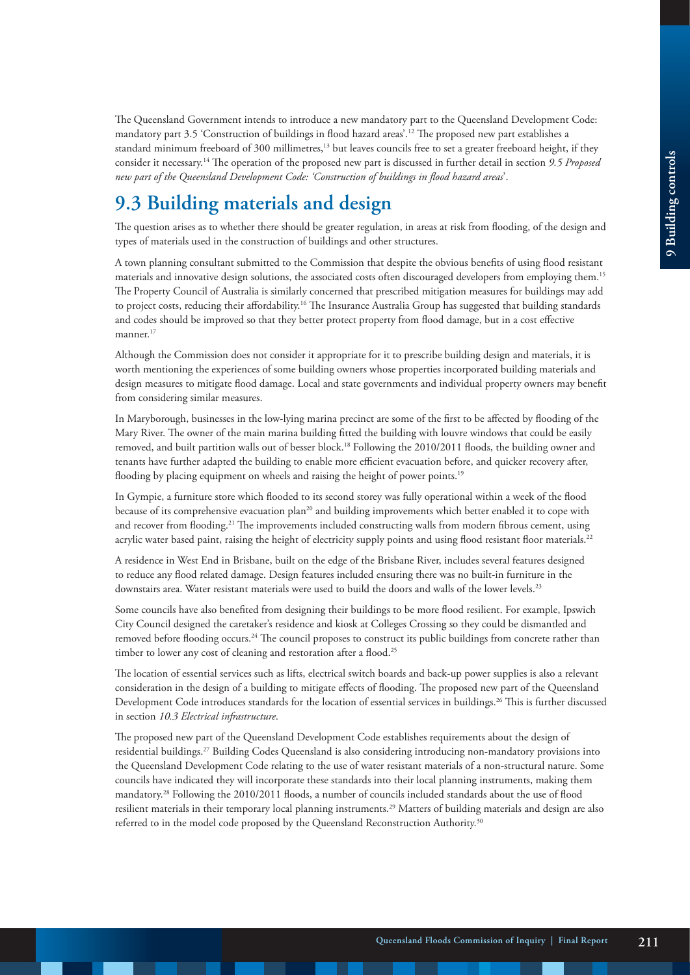The Queensland Government intends to introduce a new mandatory part to the Queensland Development Code: mandatory part 3.5 'Construction of buildings in flood hazard areas'.12 The proposed new part establishes a standard minimum freeboard of 300 millimetres,<sup>13</sup> but leaves councils free to set a greater freeboard height, if they consider it necessary.14 The operation of the proposed new part is discussed in further detail in section *9.5 Proposed new part of the Queensland Development Code: 'Construction of buildings in flood hazard areas*'.

# **9.3 Building materials and design**

The question arises as to whether there should be greater regulation, in areas at risk from flooding, of the design and types of materials used in the construction of buildings and other structures.

A town planning consultant submitted to the Commission that despite the obvious benefits of using flood resistant materials and innovative design solutions, the associated costs often discouraged developers from employing them.15 The Property Council of Australia is similarly concerned that prescribed mitigation measures for buildings may add to project costs, reducing their affordability.<sup>16</sup> The Insurance Australia Group has suggested that building standards and codes should be improved so that they better protect property from flood damage, but in a cost effective manner.<sup>17</sup>

Although the Commission does not consider it appropriate for it to prescribe building design and materials, it is worth mentioning the experiences of some building owners whose properties incorporated building materials and design measures to mitigate flood damage. Local and state governments and individual property owners may benefit from considering similar measures.

In Maryborough, businesses in the low-lying marina precinct are some of the first to be affected by flooding of the Mary River. The owner of the main marina building fitted the building with louvre windows that could be easily removed, and built partition walls out of besser block.18 Following the 2010/2011 floods, the building owner and tenants have further adapted the building to enable more efficient evacuation before, and quicker recovery after, flooding by placing equipment on wheels and raising the height of power points.<sup>19</sup>

In Gympie, a furniture store which flooded to its second storey was fully operational within a week of the flood because of its comprehensive evacuation plan<sup>20</sup> and building improvements which better enabled it to cope with and recover from flooding.<sup>21</sup> The improvements included constructing walls from modern fibrous cement, using acrylic water based paint, raising the height of electricity supply points and using flood resistant floor materials.<sup>22</sup>

A residence in West End in Brisbane, built on the edge of the Brisbane River, includes several features designed to reduce any flood related damage. Design features included ensuring there was no built-in furniture in the downstairs area. Water resistant materials were used to build the doors and walls of the lower levels.<sup>23</sup>

Some councils have also benefited from designing their buildings to be more flood resilient. For example, Ipswich City Council designed the caretaker's residence and kiosk at Colleges Crossing so they could be dismantled and removed before flooding occurs.<sup>24</sup> The council proposes to construct its public buildings from concrete rather than timber to lower any cost of cleaning and restoration after a flood.<sup>25</sup>

The location of essential services such as lifts, electrical switch boards and back-up power supplies is also a relevant consideration in the design of a building to mitigate effects of flooding. The proposed new part of the Queensland Development Code introduces standards for the location of essential services in buildings.<sup>26</sup> This is further discussed in section *10.3 Electrical infrastructure*.

The proposed new part of the Queensland Development Code establishes requirements about the design of residential buildings.27 Building Codes Queensland is also considering introducing non-mandatory provisions into the Queensland Development Code relating to the use of water resistant materials of a non-structural nature. Some councils have indicated they will incorporate these standards into their local planning instruments, making them mandatory.28 Following the 2010/2011 floods, a number of councils included standards about the use of flood resilient materials in their temporary local planning instruments.29 Matters of building materials and design are also referred to in the model code proposed by the Queensland Reconstruction Authority.30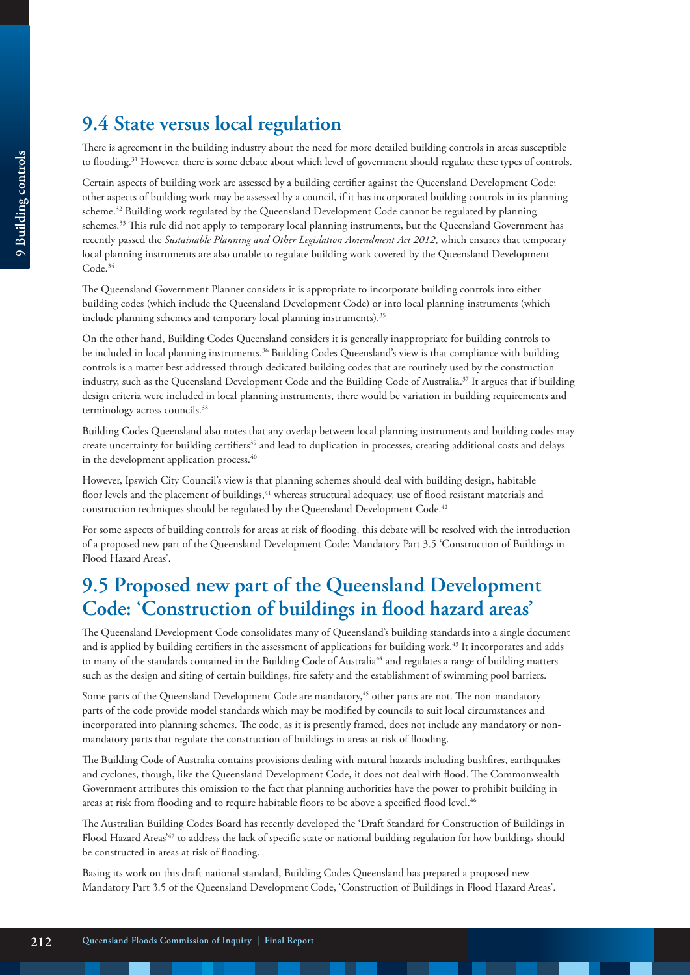## **9.4 State versus local regulation**

There is agreement in the building industry about the need for more detailed building controls in areas susceptible to flooding.<sup>31</sup> However, there is some debate about which level of government should regulate these types of controls.

Certain aspects of building work are assessed by a building certifier against the Queensland Development Code; other aspects of building work may be assessed by a council, if it has incorporated building controls in its planning scheme.<sup>32</sup> Building work regulated by the Queensland Development Code cannot be regulated by planning schemes.<sup>33</sup> This rule did not apply to temporary local planning instruments, but the Queensland Government has recently passed the *Sustainable Planning and Other Legislation Amendment Act 2012*, which ensures that temporary local planning instruments are also unable to regulate building work covered by the Queensland Development Code.<sup>34</sup>

The Queensland Government Planner considers it is appropriate to incorporate building controls into either building codes (which include the Queensland Development Code) or into local planning instruments (which include planning schemes and temporary local planning instruments).<sup>35</sup>

On the other hand, Building Codes Queensland considers it is generally inappropriate for building controls to be included in local planning instruments.<sup>36</sup> Building Codes Queensland's view is that compliance with building controls is a matter best addressed through dedicated building codes that are routinely used by the construction industry, such as the Queensland Development Code and the Building Code of Australia.<sup>37</sup> It argues that if building design criteria were included in local planning instruments, there would be variation in building requirements and terminology across councils.<sup>38</sup>

Building Codes Queensland also notes that any overlap between local planning instruments and building codes may create uncertainty for building certifiers<sup>39</sup> and lead to duplication in processes, creating additional costs and delays in the development application process.<sup>40</sup>

However, Ipswich City Council's view is that planning schemes should deal with building design, habitable floor levels and the placement of buildings,<sup>41</sup> whereas structural adequacy, use of flood resistant materials and construction techniques should be regulated by the Queensland Development Code.<sup>42</sup>

For some aspects of building controls for areas at risk of flooding, this debate will be resolved with the introduction of a proposed new part of the Queensland Development Code: Mandatory Part 3.5 'Construction of Buildings in Flood Hazard Areas'.

### **9.5 Proposed new part of the Queensland Development Code: 'Construction of buildings in flood hazard areas'**

The Queensland Development Code consolidates many of Queensland's building standards into a single document and is applied by building certifiers in the assessment of applications for building work.43 It incorporates and adds to many of the standards contained in the Building Code of Australia<sup>44</sup> and regulates a range of building matters such as the design and siting of certain buildings, fire safety and the establishment of swimming pool barriers.

Some parts of the Queensland Development Code are mandatory,<sup>45</sup> other parts are not. The non-mandatory parts of the code provide model standards which may be modified by councils to suit local circumstances and incorporated into planning schemes. The code, as it is presently framed, does not include any mandatory or nonmandatory parts that regulate the construction of buildings in areas at risk of flooding.

The Building Code of Australia contains provisions dealing with natural hazards including bushfires, earthquakes and cyclones, though, like the Queensland Development Code, it does not deal with flood. The Commonwealth Government attributes this omission to the fact that planning authorities have the power to prohibit building in areas at risk from flooding and to require habitable floors to be above a specified flood level.<sup>46</sup>

The Australian Building Codes Board has recently developed the 'Draft Standard for Construction of Buildings in Flood Hazard Areas'<sup>47</sup> to address the lack of specific state or national building regulation for how buildings should be constructed in areas at risk of flooding.

Basing its work on this draft national standard, Building Codes Queensland has prepared a proposed new Mandatory Part 3.5 of the Queensland Development Code, 'Construction of Buildings in Flood Hazard Areas'.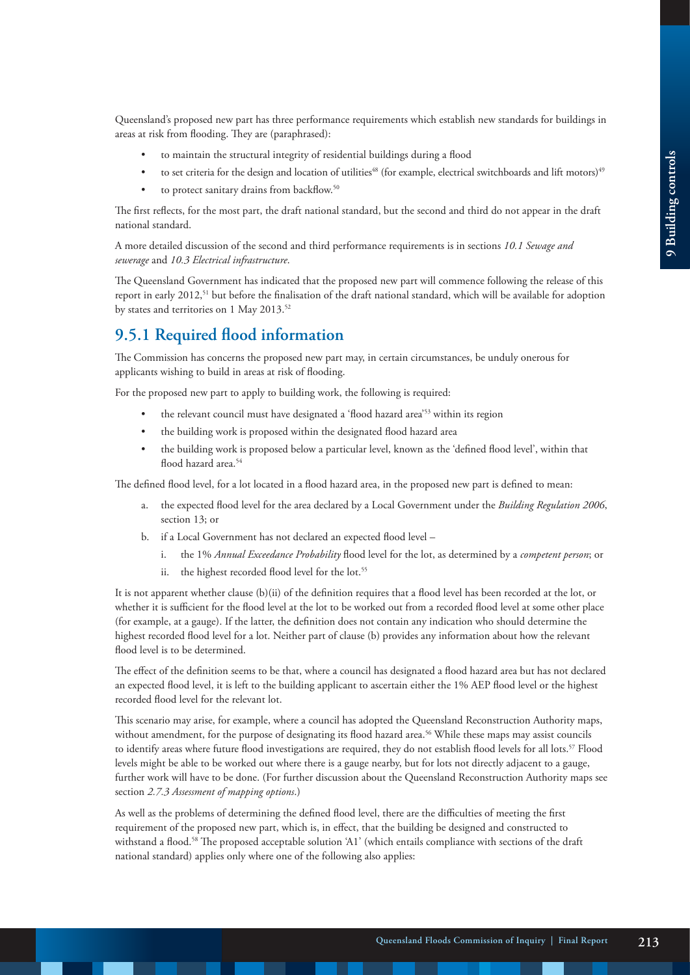Queensland's proposed new part has three performance requirements which establish new standards for buildings in areas at risk from flooding. They are (paraphrased):

- to maintain the structural integrity of residential buildings during a flood
- to set criteria for the design and location of utilities<sup>48</sup> (for example, electrical switchboards and lift motors)<sup>49</sup>
- to protect sanitary drains from backflow.<sup>50</sup>

The first reflects, for the most part, the draft national standard, but the second and third do not appear in the draft national standard.

A more detailed discussion of the second and third performance requirements is in sections *10.1 Sewage and sewerage* and *10.3 Electrical infrastructure*.

The Queensland Government has indicated that the proposed new part will commence following the release of this report in early 2012,51 but before the finalisation of the draft national standard, which will be available for adoption by states and territories on 1 May 2013.<sup>52</sup>

#### **9.5.1 Required flood information**

The Commission has concerns the proposed new part may, in certain circumstances, be unduly onerous for applicants wishing to build in areas at risk of flooding.

For the proposed new part to apply to building work, the following is required:

- the relevant council must have designated a 'flood hazard area'53 within its region
- the building work is proposed within the designated flood hazard area
- the building work is proposed below a particular level, known as the 'defined flood level', within that flood hazard area.<sup>54</sup>

The defined flood level, for a lot located in a flood hazard area, in the proposed new part is defined to mean:

- a. the expected flood level for the area declared by a Local Government under the *Building Regulation 2006*, section 13; or
- b. if a Local Government has not declared an expected flood level
	- i. the 1% *Annual Exceedance Probability* flood level for the lot, as determined by a *competent person*; or
	- ii. the highest recorded flood level for the lot.<sup>55</sup>

It is not apparent whether clause (b)(ii) of the definition requires that a flood level has been recorded at the lot, or whether it is sufficient for the flood level at the lot to be worked out from a recorded flood level at some other place (for example, at a gauge). If the latter, the definition does not contain any indication who should determine the highest recorded flood level for a lot. Neither part of clause (b) provides any information about how the relevant flood level is to be determined.

The effect of the definition seems to be that, where a council has designated a flood hazard area but has not declared an expected flood level, it is left to the building applicant to ascertain either the 1% AEP flood level or the highest recorded flood level for the relevant lot.

This scenario may arise, for example, where a council has adopted the Queensland Reconstruction Authority maps, without amendment, for the purpose of designating its flood hazard area.<sup>56</sup> While these maps may assist councils to identify areas where future flood investigations are required, they do not establish flood levels for all lots.<sup>57</sup> Flood levels might be able to be worked out where there is a gauge nearby, but for lots not directly adjacent to a gauge, further work will have to be done. (For further discussion about the Queensland Reconstruction Authority maps see section *2.7.3 Assessment of mapping options*.)

As well as the problems of determining the defined flood level, there are the difficulties of meeting the first requirement of the proposed new part, which is, in effect, that the building be designed and constructed to withstand a flood.<sup>58</sup> The proposed acceptable solution 'A1' (which entails compliance with sections of the draft national standard) applies only where one of the following also applies: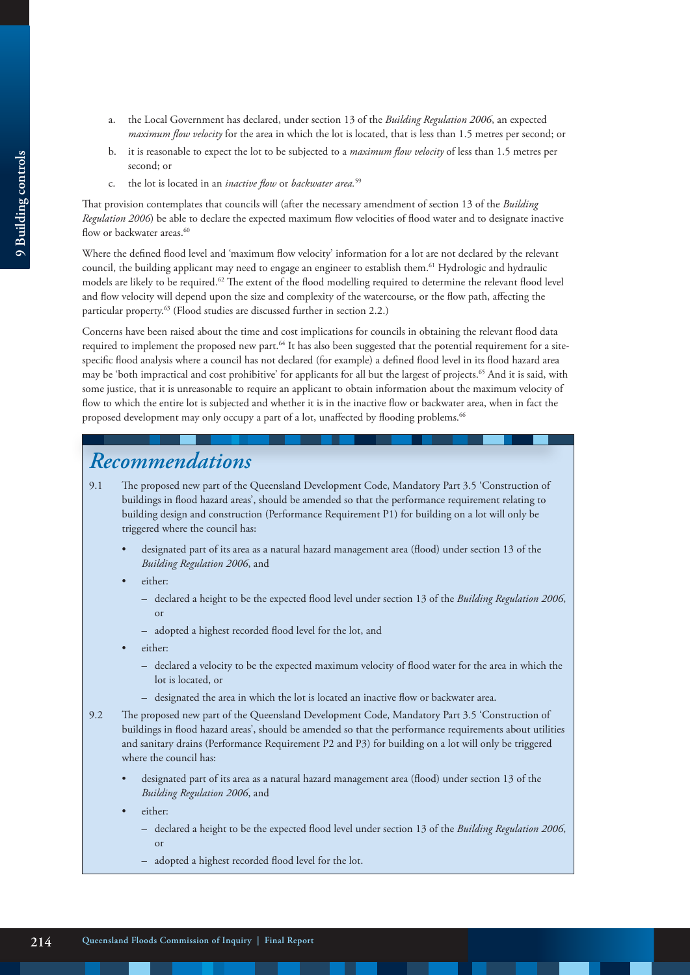- a. the Local Government has declared, under section 13 of the *Building Regulation 2006*, an expected *maximum flow velocity* for the area in which the lot is located, that is less than 1.5 metres per second; or
- b. it is reasonable to expect the lot to be subjected to a *maximum flow velocity* of less than 1.5 metres per second; or
- c. the lot is located in an *inactive flow* or *backwater area.*<sup>59</sup>

That provision contemplates that councils will (after the necessary amendment of section 13 of the *Building Regulation 2006*) be able to declare the expected maximum flow velocities of flood water and to designate inactive flow or backwater areas.<sup>60</sup>

Where the defined flood level and 'maximum flow velocity' information for a lot are not declared by the relevant council, the building applicant may need to engage an engineer to establish them.61 Hydrologic and hydraulic models are likely to be required.62 The extent of the flood modelling required to determine the relevant flood level and flow velocity will depend upon the size and complexity of the watercourse, or the flow path, affecting the particular property.<sup>63</sup> (Flood studies are discussed further in section 2.2.)

Concerns have been raised about the time and cost implications for councils in obtaining the relevant flood data required to implement the proposed new part.<sup>64</sup> It has also been suggested that the potential requirement for a sitespecific flood analysis where a council has not declared (for example) a defined flood level in its flood hazard area may be 'both impractical and cost prohibitive' for applicants for all but the largest of projects.<sup>65</sup> And it is said, with some justice, that it is unreasonable to require an applicant to obtain information about the maximum velocity of flow to which the entire lot is subjected and whether it is in the inactive flow or backwater area, when in fact the proposed development may only occupy a part of a lot, unaffected by flooding problems.<sup>66</sup>

### *Recommendations*

- 9.1 The proposed new part of the Queensland Development Code, Mandatory Part 3.5 'Construction of buildings in flood hazard areas', should be amended so that the performance requirement relating to building design and construction (Performance Requirement P1) for building on a lot will only be triggered where the council has:
	- designated part of its area as a natural hazard management area (flood) under section 13 of the *Building Regulation 2006*, and
	- either:
		- declared a height to be the expected flood level under section 13 of the *Building Regulation 2006*, or
		- adopted a highest recorded flood level for the lot, and
	- either:
		- declared a velocity to be the expected maximum velocity of flood water for the area in which the lot is located, or
		- designated the area in which the lot is located an inactive flow or backwater area.
- 9.2 The proposed new part of the Queensland Development Code, Mandatory Part 3.5 'Construction of buildings in flood hazard areas', should be amended so that the performance requirements about utilities and sanitary drains (Performance Requirement P2 and P3) for building on a lot will only be triggered where the council has:
	- designated part of its area as a natural hazard management area (flood) under section 13 of the *Building Regulation 2006*, and
	- either:
		- declared a height to be the expected flood level under section 13 of the *Building Regulation 2006*, or
		- adopted a highest recorded flood level for the lot.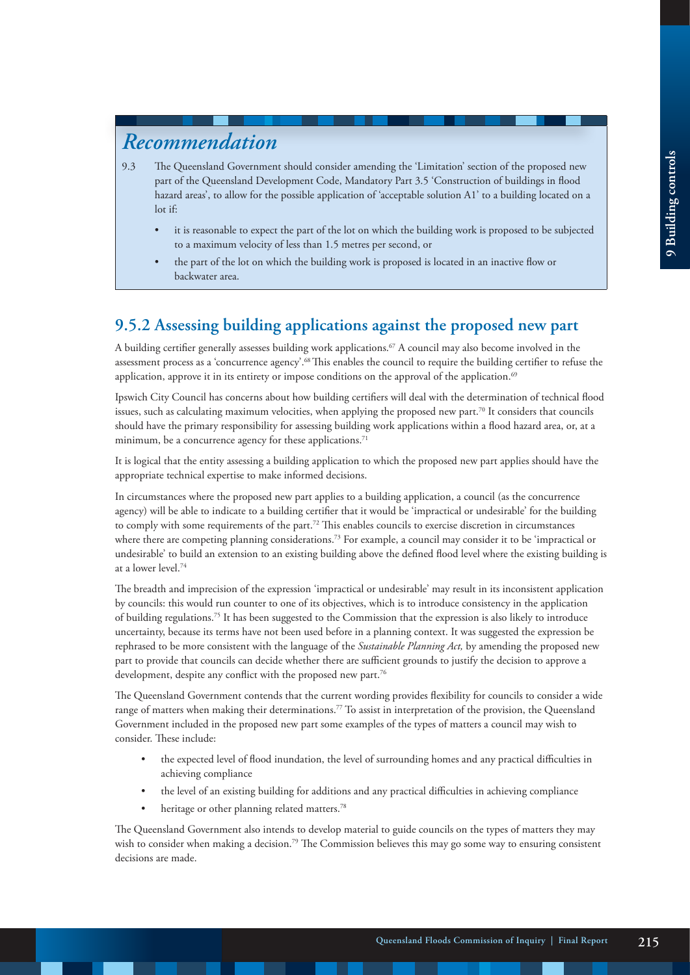### *Recommendation*

- 9.3 The Queensland Government should consider amending the 'Limitation' section of the proposed new part of the Queensland Development Code, Mandatory Part 3.5 'Construction of buildings in flood hazard areas', to allow for the possible application of 'acceptable solution A1' to a building located on a lot if:
	- it is reasonable to expect the part of the lot on which the building work is proposed to be subjected to a maximum velocity of less than 1.5 metres per second, or
	- the part of the lot on which the building work is proposed is located in an inactive flow or backwater area.

### **9.5.2 Assessing building applications against the proposed new part**

A building certifier generally assesses building work applications.<sup>67</sup> A council may also become involved in the assessment process as a 'concurrence agency'.68 This enables the council to require the building certifier to refuse the application, approve it in its entirety or impose conditions on the approval of the application.<sup>69</sup>

Ipswich City Council has concerns about how building certifiers will deal with the determination of technical flood issues, such as calculating maximum velocities, when applying the proposed new part.70 It considers that councils should have the primary responsibility for assessing building work applications within a flood hazard area, or, at a minimum, be a concurrence agency for these applications.<sup>71</sup>

It is logical that the entity assessing a building application to which the proposed new part applies should have the appropriate technical expertise to make informed decisions.

In circumstances where the proposed new part applies to a building application, a council (as the concurrence agency) will be able to indicate to a building certifier that it would be 'impractical or undesirable' for the building to comply with some requirements of the part.<sup>72</sup> This enables councils to exercise discretion in circumstances where there are competing planning considerations.<sup>73</sup> For example, a council may consider it to be 'impractical or undesirable' to build an extension to an existing building above the defined flood level where the existing building is at a lower level.74

The breadth and imprecision of the expression 'impractical or undesirable' may result in its inconsistent application by councils: this would run counter to one of its objectives, which is to introduce consistency in the application of building regulations.75 It has been suggested to the Commission that the expression is also likely to introduce uncertainty, because its terms have not been used before in a planning context. It was suggested the expression be rephrased to be more consistent with the language of the *Sustainable Planning Act,* by amending the proposed new part to provide that councils can decide whether there are sufficient grounds to justify the decision to approve a development, despite any conflict with the proposed new part.<sup>76</sup>

The Queensland Government contends that the current wording provides flexibility for councils to consider a wide range of matters when making their determinations.<sup>77</sup> To assist in interpretation of the provision, the Queensland Government included in the proposed new part some examples of the types of matters a council may wish to consider. These include:

- the expected level of flood inundation, the level of surrounding homes and any practical difficulties in achieving compliance
- the level of an existing building for additions and any practical difficulties in achieving compliance
- heritage or other planning related matters.<sup>78</sup>

The Queensland Government also intends to develop material to guide councils on the types of matters they may wish to consider when making a decision.<sup>79</sup> The Commission believes this may go some way to ensuring consistent decisions are made.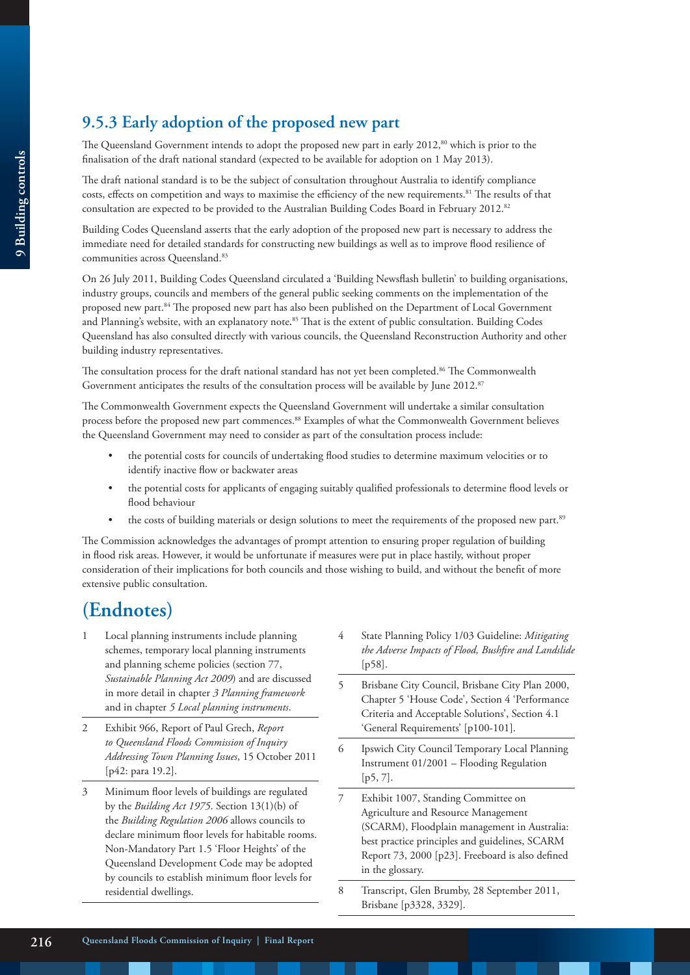### **9.5.3 Early adoption of the proposed new part**

The Queensland Government intends to adopt the proposed new part in early 2012,<sup>80</sup> which is prior to the finalisation of the draft national standard (expected to be available for adoption on 1 May 2013).

The draft national standard is to be the subject of consultation throughout Australia to identify compliance costs, effects on competition and ways to maximise the efficiency of the new requirements.81 The results of that consultation are expected to be provided to the Australian Building Codes Board in February 2012.<sup>82</sup>

Building Codes Queensland asserts that the early adoption of the proposed new part is necessary to address the immediate need for detailed standards for constructing new buildings as well as to improve flood resilience of communities across Queensland.<sup>83</sup>

On 26 July 2011, Building Codes Queensland circulated a 'Building Newsflash bulletin' to building organisations, industry groups, councils and members of the general public seeking comments on the implementation of the proposed new part.84 The proposed new part has also been published on the Department of Local Government and Planning's website, with an explanatory note**.** 85 That is the extent of public consultation. Building Codes Queensland has also consulted directly with various councils, the Queensland Reconstruction Authority and other building industry representatives.

The consultation process for the draft national standard has not yet been completed.<sup>86</sup> The Commonwealth Government anticipates the results of the consultation process will be available by June 2012.<sup>87</sup>

The Commonwealth Government expects the Queensland Government will undertake a similar consultation process before the proposed new part commences.88 Examples of what the Commonwealth Government believes the Queensland Government may need to consider as part of the consultation process include:

- the potential costs for councils of undertaking flood studies to determine maximum velocities or to identify inactive flow or backwater areas
- the potential costs for applicants of engaging suitably qualified professionals to determine flood levels or flood behaviour
- the costs of building materials or design solutions to meet the requirements of the proposed new part.<sup>89</sup>

The Commission acknowledges the advantages of prompt attention to ensuring proper regulation of building in flood risk areas. However, it would be unfortunate if measures were put in place hastily, without proper consideration of their implications for both councils and those wishing to build, and without the benefit of more extensive public consultation.

# **(Endnotes)**

- 1 Local planning instruments include planning schemes, temporary local planning instruments and planning scheme policies (section 77, *Sustainable Planning Act 2009*) and are discussed in more detail in chapter *3 Planning framework*  and in chapter *5 Local planning instruments*.
- 2 Exhibit 966, Report of Paul Grech, *Report to Queensland Floods Commission of Inquiry Addressing Town Planning Issues*, 15 October 2011 [p42: para 19.2].
- 3 Minimum floor levels of buildings are regulated by the *Building Act 1975*. Section 13(1)(b) of the *Building Regulation 2006* allows councils to declare minimum floor levels for habitable rooms. Non-Mandatory Part 1.5 'Floor Heights' of the Queensland Development Code may be adopted by councils to establish minimum floor levels for residential dwellings.
- 4 State Planning Policy 1/03 Guideline: *Mitigating the Adverse Impacts of Flood, Bushfire and Landslide* [p58].
- 5 Brisbane City Council, Brisbane City Plan 2000, Chapter 5 'House Code', Section 4 'Performance Criteria and Acceptable Solutions', Section 4.1 'General Requirements' [p100-101].
- 6 Ipswich City Council Temporary Local Planning Instrument 01/2001 – Flooding Regulation [p5, 7].
- 7 Exhibit 1007, Standing Committee on Agriculture and Resource Management (SCARM), Floodplain management in Australia: best practice principles and guidelines, SCARM Report 73, 2000 [p23]. Freeboard is also defined in the glossary.
- 8 Transcript, Glen Brumby, 28 September 2011, Brisbane [p3328, 3329].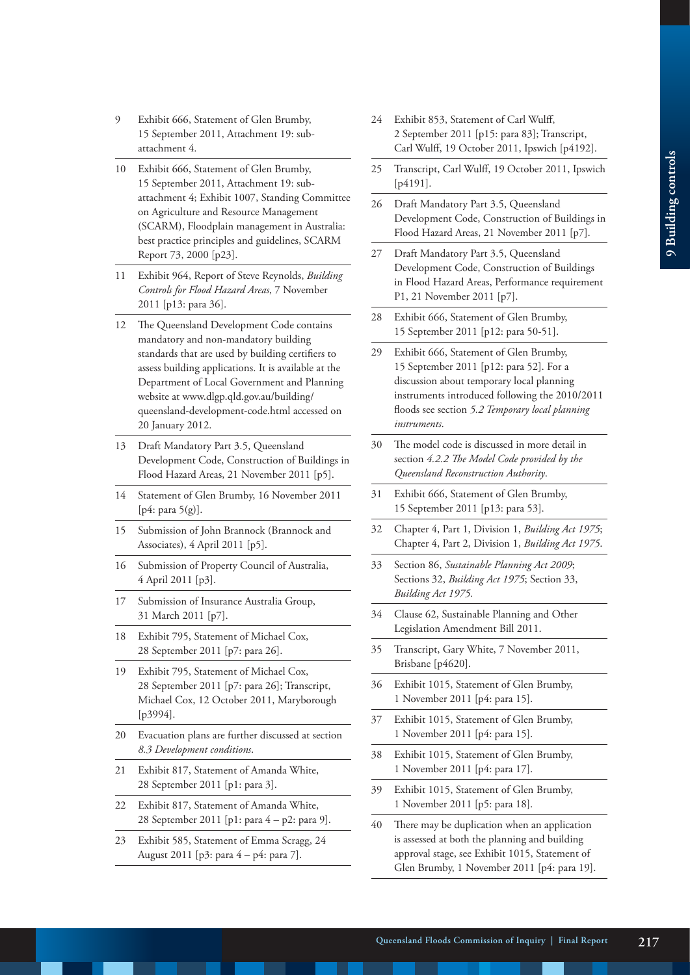- 9 Exhibit 666, Statement of Glen Brumby, 15 September 2011, Attachment 19: subattachment 4.
- 10 Exhibit 666, Statement of Glen Brumby, 15 September 2011, Attachment 19: subattachment 4; Exhibit 1007, Standing Committee on Agriculture and Resource Management (SCARM), Floodplain management in Australia: best practice principles and guidelines, SCARM Report 73, 2000 [p23].
- 11 Exhibit 964, Report of Steve Reynolds, *Building Controls for Flood Hazard Areas*, 7 November 2011 [p13: para 36].
- 12 The Oueensland Development Code contains mandatory and non-mandatory building standards that are used by building certifiers to assess building applications. It is available at the Department of Local Government and Planning website at www.dlgp.qld.gov.au/building/ queensland-development-code.html accessed on 20 January 2012.
- 13 Draft Mandatory Part 3.5, Queensland Development Code, Construction of Buildings in Flood Hazard Areas, 21 November 2011 [p5].
- 14 Statement of Glen Brumby, 16 November 2011 [p4: para 5(g)].
- 15 Submission of John Brannock (Brannock and Associates), 4 April 2011 [p5].
- 16 Submission of Property Council of Australia, 4 April 2011 [p3].
- 17 Submission of Insurance Australia Group, 31 March 2011 [p7].
- 18 Exhibit 795, Statement of Michael Cox, 28 September 2011 [p7: para 26].
- 19 Exhibit 795, Statement of Michael Cox, 28 September 2011 [p7: para 26]; Transcript, Michael Cox, 12 October 2011, Maryborough [p3994].
- 20 Evacuation plans are further discussed at section *8.3 Development conditions*.
- 21 Exhibit 817, Statement of Amanda White, 28 September 2011 [p1: para 3].
- 22 Exhibit 817, Statement of Amanda White, 28 September 2011 [p1: para 4 – p2: para 9].
- 23 Exhibit 585, Statement of Emma Scragg, 24 August 2011 [p3: para 4 – p4: para 7].
- 24 Exhibit 853, Statement of Carl Wulff, 2 September 2011 [p15: para 83]; Transcript, Carl Wulff, 19 October 2011, Ipswich [p4192].
- 25 Transcript, Carl Wulff, 19 October 2011, Ipswich [ $p4191$ ].
- 26 Draft Mandatory Part 3.5, Queensland Development Code, Construction of Buildings in Flood Hazard Areas, 21 November 2011 [p7].
- 27 Draft Mandatory Part 3.5, Queensland Development Code, Construction of Buildings in Flood Hazard Areas, Performance requirement P1, 21 November 2011 [p7].
- 28 Exhibit 666, Statement of Glen Brumby, 15 September 2011 [p12: para 50-51].
- 29 Exhibit 666, Statement of Glen Brumby, 15 September 2011 [p12: para 52]. For a discussion about temporary local planning instruments introduced following the 2010/2011 floods see section *5.2 Temporary local planning instruments*.
- 30 The model code is discussed in more detail in section *4.2.2 The Model Code provided by the Queensland Reconstruction Authority*.
- 31 Exhibit 666, Statement of Glen Brumby, 15 September 2011 [p13: para 53].
- 32 Chapter 4, Part 1, Division 1, *Building Act 1975*; Chapter 4, Part 2, Division 1, *Building Act 1975*.
- 33 Section 86, *Sustainable Planning Act 2009*; Sections 32, *Building Act 1975*; Section 33, *Building Act 1975.*
- 34 Clause 62, Sustainable Planning and Other Legislation Amendment Bill 2011.
- 35 Transcript, Gary White, 7 November 2011, Brisbane [p4620].
- 36 Exhibit 1015, Statement of Glen Brumby, 1 November 2011 [p4: para 15].
- 37 Exhibit 1015, Statement of Glen Brumby, 1 November 2011 [p4: para 15].
- 38 Exhibit 1015, Statement of Glen Brumby, 1 November 2011 [p4: para 17].
- 39 Exhibit 1015, Statement of Glen Brumby, 1 November 2011 [p5: para 18].
- 40 There may be duplication when an application is assessed at both the planning and building approval stage, see Exhibit 1015, Statement of Glen Brumby, 1 November 2011 [p4: para 19].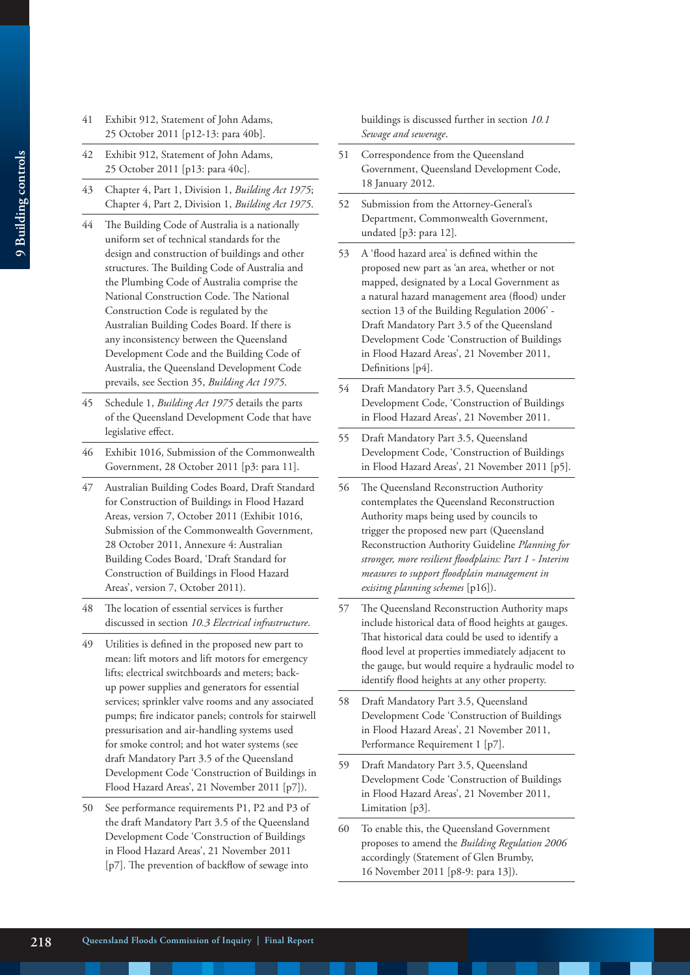- 41 Exhibit 912, Statement of John Adams, 25 October 2011 [p12-13: para 40b].
- 42 Exhibit 912, Statement of John Adams, 25 October 2011 [p13: para 40c].
- 43 Chapter 4, Part 1, Division 1, *Building Act 1975*; Chapter 4, Part 2, Division 1, *Building Act 1975*.
- 44 The Building Code of Australia is a nationally uniform set of technical standards for the design and construction of buildings and other structures. The Building Code of Australia and the Plumbing Code of Australia comprise the National Construction Code. The National Construction Code is regulated by the Australian Building Codes Board. If there is any inconsistency between the Queensland Development Code and the Building Code of Australia, the Queensland Development Code prevails, see Section 35, *Building Act 1975*.
- 45 Schedule 1, *Building Act 1975* details the parts of the Queensland Development Code that have legislative effect.
- 46 Exhibit 1016, Submission of the Commonwealth Government, 28 October 2011 [p3: para 11].
- 47 Australian Building Codes Board, Draft Standard for Construction of Buildings in Flood Hazard Areas, version 7, October 2011 (Exhibit 1016, Submission of the Commonwealth Government, 28 October 2011, Annexure 4: Australian Building Codes Board, 'Draft Standard for Construction of Buildings in Flood Hazard Areas', version 7, October 2011).
- 48 The location of essential services is further discussed in section *10.3 Electrical infrastructure*.
- 49 Utilities is defined in the proposed new part to mean: lift motors and lift motors for emergency lifts; electrical switchboards and meters; backup power supplies and generators for essential services; sprinkler valve rooms and any associated pumps; fire indicator panels; controls for stairwell pressurisation and air-handling systems used for smoke control; and hot water systems (see draft Mandatory Part 3.5 of the Queensland Development Code 'Construction of Buildings in Flood Hazard Areas', 21 November 2011 [p7]).
- 50 See performance requirements P1, P2 and P3 of the draft Mandatory Part 3.5 of the Queensland Development Code 'Construction of Buildings in Flood Hazard Areas', 21 November 2011 [p7]. The prevention of backflow of sewage into

buildings is discussed further in section *10.1 Sewage and sewerage*.

- 51 Correspondence from the Queensland Government, Queensland Development Code, 18 January 2012.
- 52 Submission from the Attorney-General's Department, Commonwealth Government, undated [p3: para 12].
- 53 A 'flood hazard area' is defined within the proposed new part as 'an area, whether or not mapped, designated by a Local Government as a natural hazard management area (flood) under section 13 of the Building Regulation 2006' - Draft Mandatory Part 3.5 of the Queensland Development Code 'Construction of Buildings in Flood Hazard Areas', 21 November 2011, Definitions [p4].
- 54 Draft Mandatory Part 3.5, Queensland Development Code, 'Construction of Buildings in Flood Hazard Areas', 21 November 2011.
- 55 Draft Mandatory Part 3.5, Queensland Development Code, 'Construction of Buildings in Flood Hazard Areas', 21 November 2011 [p5].
- 56 The Queensland Reconstruction Authority contemplates the Queensland Reconstruction Authority maps being used by councils to trigger the proposed new part (Queensland Reconstruction Authority Guideline *Planning for stronger, more resilient floodplains: Part 1 - Interim measures to support floodplain management in exisitng planning schemes* [p16]).
- 57 The Queensland Reconstruction Authority maps include historical data of flood heights at gauges. That historical data could be used to identify a flood level at properties immediately adjacent to the gauge, but would require a hydraulic model to identify flood heights at any other property.
- 58 Draft Mandatory Part 3.5, Queensland Development Code 'Construction of Buildings in Flood Hazard Areas', 21 November 2011, Performance Requirement 1 [p7].
- 59 Draft Mandatory Part 3.5, Queensland Development Code 'Construction of Buildings in Flood Hazard Areas', 21 November 2011, Limitation [p3].
- To enable this, the Queensland Government proposes to amend the *Building Regulation 2006* accordingly (Statement of Glen Brumby, 16 November 2011 [p8-9: para 13]).